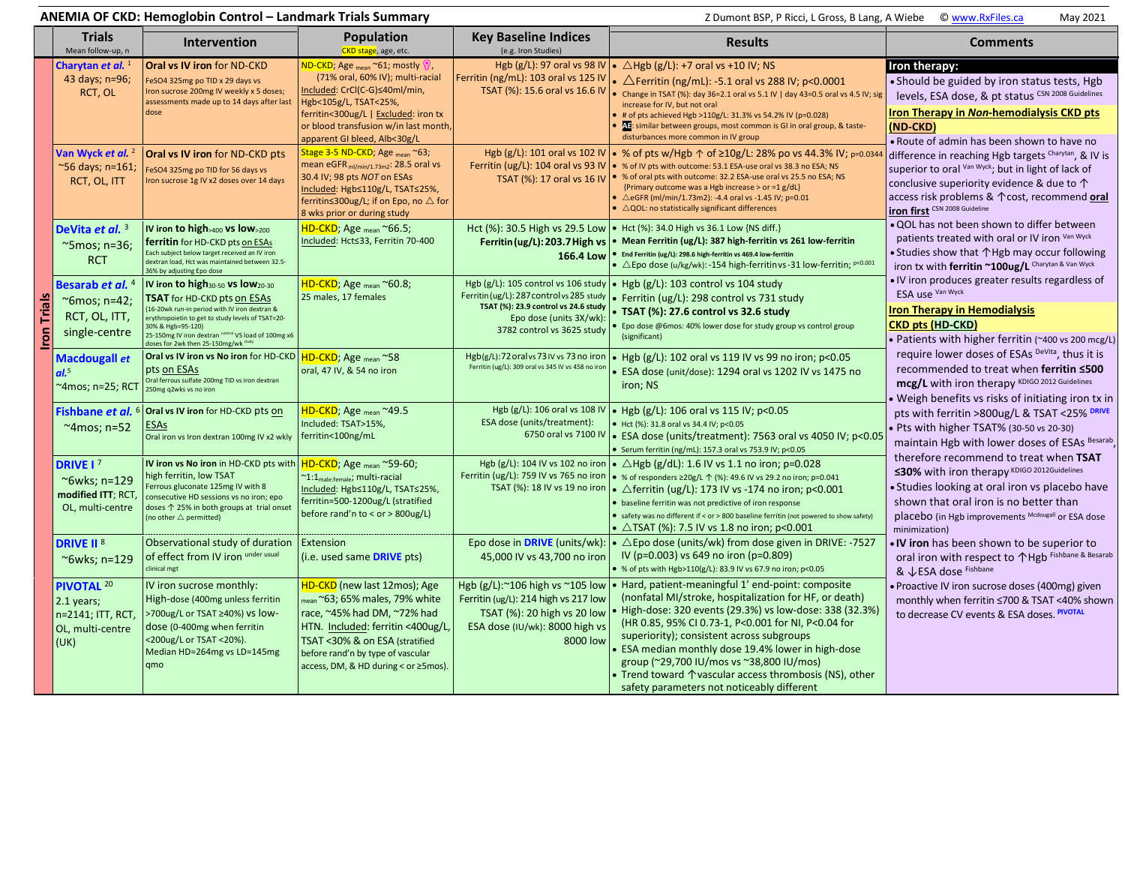|                    |                                                                                      | ANEMIA OF CKD: Hemoglobin Control - Landmark Trials Summary                                                                                                                                                                                                                                                                |                                                                                                                                                                                                                                                                        | Z Dumont BSP, P Ricci, L Gross, B Lang, A Wiebe   C www.RxFiles.ca<br>May 2021                                                                                                    |                                                                                                                                                                                                                                                                                                                                                                                                                                                                                                                                         |                                                                                                                                                                                                                                                                                                                                                                                                                                                                                                                                                                                                                                                                                                                                                                                                                                                                                                                                                                                                                                                                                                           |
|--------------------|--------------------------------------------------------------------------------------|----------------------------------------------------------------------------------------------------------------------------------------------------------------------------------------------------------------------------------------------------------------------------------------------------------------------------|------------------------------------------------------------------------------------------------------------------------------------------------------------------------------------------------------------------------------------------------------------------------|-----------------------------------------------------------------------------------------------------------------------------------------------------------------------------------|-----------------------------------------------------------------------------------------------------------------------------------------------------------------------------------------------------------------------------------------------------------------------------------------------------------------------------------------------------------------------------------------------------------------------------------------------------------------------------------------------------------------------------------------|-----------------------------------------------------------------------------------------------------------------------------------------------------------------------------------------------------------------------------------------------------------------------------------------------------------------------------------------------------------------------------------------------------------------------------------------------------------------------------------------------------------------------------------------------------------------------------------------------------------------------------------------------------------------------------------------------------------------------------------------------------------------------------------------------------------------------------------------------------------------------------------------------------------------------------------------------------------------------------------------------------------------------------------------------------------------------------------------------------------|
|                    | <b>Trials</b><br>Mean follow-up, n                                                   | <b>Intervention</b>                                                                                                                                                                                                                                                                                                        | <b>Population</b><br>CKD stage, age, etc.                                                                                                                                                                                                                              | <b>Key Baseline Indices</b><br>(e.g. Iron Studies)                                                                                                                                | <b>Results</b>                                                                                                                                                                                                                                                                                                                                                                                                                                                                                                                          | <b>Comments</b>                                                                                                                                                                                                                                                                                                                                                                                                                                                                                                                                                                                                                                                                                                                                                                                                                                                                                                                                                                                                                                                                                           |
|                    | Charytan et al. <sup>1</sup><br>43 days; n=96;<br>RCT, OL                            | Oral vs IV iron for ND-CKD<br>FeSO4 325mg po TID x 29 days vs<br>Iron sucrose 200mg IV weekly x 5 doses;<br>assessments made up to 14 days after last<br>dose                                                                                                                                                              | $ND$ -CKD; Age $_{\sf mean}$ ~61; mostly $\mathcal G$ ,<br>(71% oral, 60% IV); multi-racial<br>Included: CrCl(C-G)≤40ml/min,<br>Hgb<105g/L, TSAT<25%,<br>ferritin<300ug/L   Excluded: iron tx<br>or blood transfusion w/in last month,<br>apparent GI bleed, Alb<30g/L | Ferritin (ng/mL): 103 oral vs 125 IV                                                                                                                                              | Hgb (g/L): 97 oral vs 98 IV $\bullet$ $\triangle$ Hgb (g/L): +7 oral vs +10 IV; NS<br>• $\triangle$ Ferritin (ng/mL): -5.1 oral vs 288 IV; p<0.0001<br>TSAT (%): 15.6 oral vs 16.6 IV   . Change in TSAT (%): day 36=2.1 oral vs 5.1 IV   day 43=0.5 oral vs 4.5 IV; sig<br>increase for IV, but not oral<br># of pts achieved Hgb >110g/L: 31.3% vs 54.2% IV (p=0.028)<br>Al: similar between groups, most common is GI in oral group, & taste-<br>disturbances more common in IV group                                                | Iron therapy:<br>• Should be guided by iron status tests, Hgb<br>levels, ESA dose, & pt status CSN 2008 Guidelines<br>Iron Therapy in Non-hemodialysis CKD pts<br>(ND-CKD)<br>. Route of admin has been shown to have no<br>difference in reaching Hgb targets Charytan, & IV is<br>superior to oral Van Wyck; but in light of lack of<br>conclusive superiority evidence & due to $\uparrow$<br>access risk problems & 1 cost, recommend oral<br><b>iron first</b> CSN 2008 Guideline<br>. QOL has not been shown to differ between<br>patients treated with oral or IV iron Van Wyck<br>• Studies show that $\uparrow$ Hgb may occur following<br>iron tx with ferritin ~100ug/L Charytan & Van Wyck<br>. IV iron produces greater results regardless of<br>ESA use Van Wyck<br><b>Iron Therapy in Hemodialysis</b><br><b>CKD pts (HD-CKD)</b><br>• Patients with higher ferritin (~400 vs 200 mcg/L)<br>require lower doses of ESAs DeVita, thus it is<br>recommended to treat when ferritin ≤500<br>mcg/L with iron therapy KDIGO 2012 Guidelines<br>Weigh benefits vs risks of initiating iron tx in |
|                    | Van Wyck et al. <sup>2</sup><br>~56 days; n=161;<br>RCT, OL, ITT                     | Oral vs IV iron for ND-CKD pts<br>eSO4 325mg po TID for 56 days vs<br>Iron sucrose 1g IV x2 doses over 14 days                                                                                                                                                                                                             | Stage 3-5 ND-CKD; Age <sub>mean</sub> ~63;<br>mean eGFR <sub>ml/min/1.73m2</sub> : 28.5 oral vs<br>30.4 IV; 98 pts NOT on ESAs<br>Included: Hgb≤110g/L, TSAT≤25%,<br>ferritin≤300ug/L; if on Epo, no △ for<br>8 wks prior or during study                              |                                                                                                                                                                                   | Hgb (g/L): 101 oral vs 102 IV • % of pts w/Hgb ↑ of ≥10g/L: 28% po vs 44.3% IV; p=0.034<br>Ferritin (ug/L): 104 oral vs 93 IV $\cdot \cdot \cdot$ % of IV pts with outcome: 53.1 ESA-use oral vs 38.3 no ESA; NS<br>TSAT (%): 17 oral vs 16 IV   . % of oral pts with outcome: 32.2 ESA-use oral vs 25.5 no ESA; NS<br>{Primary outcome was a Hgb increase > or =1 g/dL}<br>• $\triangle$ eGFR (ml/min/1.73m2): -4.4 oral vs -1.45 IV; p=0.01<br>$\bullet$ $\triangle$ QOL: no statistically significant differences                    |                                                                                                                                                                                                                                                                                                                                                                                                                                                                                                                                                                                                                                                                                                                                                                                                                                                                                                                                                                                                                                                                                                           |
|                    | DeVita et al. 3<br>~5mos; n=36;<br><b>RCT</b>                                        | IV iron to high>400 vs low>200<br>ferritin for HD-CKD pts on ESAs<br>Each subject below target received an IV iron<br>dextran load, Hct was maintained between 32.5-<br>36% by adjusting Epo dose                                                                                                                          | HD-CKD; Age mean ~66.5;<br>Included: Hct≤33, Ferritin 70-400                                                                                                                                                                                                           | Ferritin (ug/L): 203.7 High vs<br>166.4 Low                                                                                                                                       | Hct (%): 30.5 High vs 29.5 Low   • Hct (%): 34.0 High vs 36.1 Low {NS diff.}<br>• Mean Ferritin (ug/L): 387 high-ferritin vs 261 low-ferritin<br>End Ferritin (ug/L): 298.6 high-ferritin vs 469.4 low-ferritin<br>• $\triangle$ Epo dose (u/kg/wk): -154 high-ferritin vs -31 low-ferritin; $P < 0.001$                                                                                                                                                                                                                                |                                                                                                                                                                                                                                                                                                                                                                                                                                                                                                                                                                                                                                                                                                                                                                                                                                                                                                                                                                                                                                                                                                           |
| <b>Iron Trials</b> | Besarab et al. <sup>4</sup><br>$~\sim$ 6mos; n=42;<br>RCT, OL, ITT,<br>single-centre | IV iron to high <sub>30-50</sub> vs low <sub>20-30</sub><br>TSAT for HD-CKD pts on ESAs<br>16-20wk run-in period with IV iron dextran &<br>erythropoietin to get to study levels of TSAT=20-<br>30% & Hgb=95-120}<br>25-150mg IV iron dextran control VS load of 100mg x6<br>doses for 2wk then 25-150mg/wk <sup>stu</sup> | HD-CKD; Age <sub>mean</sub> ~60.8;<br>25 males, 17 females                                                                                                                                                                                                             | Hgb (g/L): 105 control vs 106 study<br>Ferritin (ug/L): 287 control vs 285 study<br>TSAT (%): 23.9 control vs 24.6 study<br>Epo dose (units 3X/wk):<br>3782 control vs 3625 study | • Hgb $(g/L)$ : 103 control vs 104 study<br>• Ferritin (ug/L): 298 control vs 731 study<br>• TSAT (%): 27.6 control vs 32.6 study<br>Epo dose @6mos: 40% lower dose for study group vs control group<br>(significant)                                                                                                                                                                                                                                                                                                                   |                                                                                                                                                                                                                                                                                                                                                                                                                                                                                                                                                                                                                                                                                                                                                                                                                                                                                                                                                                                                                                                                                                           |
|                    | Macdougall et<br>al. <sup>5</sup><br>~4mos; n=25; RCT                                | Oral vs IV iron vs No iron for HD-CKD<br>pts on ESAs<br>Oral ferrous sulfate 200mg TID vs iron dextran<br>250mg q2wks vs no iron                                                                                                                                                                                           | HD-CKD; Age mean ~58<br>oral, 47 IV, & 54 no iron                                                                                                                                                                                                                      | Hgb(g/L):72 oral vs 73 IV vs 73 no iron<br>Ferritin (ug/L): 309 oral vs 345 IV vs 458 no iron                                                                                     | • Hgb $(g/L)$ : 102 oral vs 119 IV vs 99 no iron; p<0.05<br>ESA dose (unit/dose): 1294 oral vs 1202 IV vs 1475 no<br>iron; NS                                                                                                                                                                                                                                                                                                                                                                                                           |                                                                                                                                                                                                                                                                                                                                                                                                                                                                                                                                                                                                                                                                                                                                                                                                                                                                                                                                                                                                                                                                                                           |
|                    | Fishbane et al.<br>$~\sim$ 4 mos; n=52                                               | Oral vs IV iron for HD-CKD pts on<br><b>ESAs</b><br>Oral iron vs Iron dextran 100mg IV x2 wkly                                                                                                                                                                                                                             | HD-CKD; Age <sub>mean</sub> ~49.5<br>Included: TSAT>15%,<br>ferritin<100ng/mL                                                                                                                                                                                          | Hgb (g/L): 106 oral vs 108 IV<br>ESA dose (units/treatment):<br>6750 oral vs 7100 IV                                                                                              | • Hgb (g/L): 106 oral vs 115 IV; p<0.05<br>• Hct (%): 31.8 oral vs 34.4 IV; p<0.05<br>• ESA dose (units/treatment): 7563 oral vs 4050 IV; p<0.05<br>• Serum ferritin (ng/mL): 157.3 oral vs 753.9 IV; p<0.05                                                                                                                                                                                                                                                                                                                            | pts with ferritin >800ug/L & TSAT <25% DRIVE<br>• Pts with higher TSAT% (30-50 vs 20-30)<br>maintain Hgb with lower doses of ESAs Besarab,                                                                                                                                                                                                                                                                                                                                                                                                                                                                                                                                                                                                                                                                                                                                                                                                                                                                                                                                                                |
|                    | DRIVE I <sup>7</sup><br>~6wks; n=129<br>modified ITT; RCT,<br>OL, multi-centre       | IV iron vs No iron in HD-CKD pts with<br>high ferritin, low TSAT<br>Ferrous gluconate 125mg IV with 8<br>consecutive HD sessions vs no iron; epo<br>doses ↑ 25% in both groups at trial onset<br>(no other $\triangle$ permitted)                                                                                          | <mark>HD-CKD</mark> ; Age <sub>mean</sub> ~59-60;<br>~1:1 <sub>male:female</sub> ; multi-racial<br>Included: Hgb≤110g/L, TSAT≤25%,<br>ferritin=500-1200ug/L (stratified<br>before rand'n to < or > 800ug/L)                                                            | TSAT (%): 18 IV vs 19 no iron                                                                                                                                                     | Hgb (g/L): 104 IV vs 102 no iron $\cdot \triangle$ Hgb (g/dL): 1.6 IV vs 1.1 no iron; p=0.028<br>Ferritin (ug/L): 759 IV vs 765 no iron   • % of responders $\geq$ 20g/L $\uparrow$ (%): 49.6 IV vs 29.2 no iron; p=0.041<br>• $\triangle$ ferritin (ug/L): 173 IV vs -174 no iron; p<0.001<br>. baseline ferritin was not predictive of iron response<br>• safety was no different if < or > 800 baseline ferritin (not powered to show safety)<br>• $\triangle$ TSAT (%): 7.5 IV vs 1.8 no iron; p<0.001                              | therefore recommend to treat when TSAT<br>≤30% with iron therapy KDIGO 2012Guidelines<br>Studies looking at oral iron vs placebo have<br>shown that oral iron is no better than<br>placebo (in Hgb improvements Mcdougall or ESA dose<br>minimization)                                                                                                                                                                                                                                                                                                                                                                                                                                                                                                                                                                                                                                                                                                                                                                                                                                                    |
|                    | <b>DRIVE II<sup>8</sup></b><br>~6wks; n=129                                          | Observational study of duration<br>of effect from IV iron under usual<br>clinical mgt                                                                                                                                                                                                                                      | Extension<br>(i.e. used same <b>DRIVE</b> pts)                                                                                                                                                                                                                         | Epo dose in DRIVE (units/wk):<br>45,000 IV vs 43,700 no iron                                                                                                                      | • $\triangle$ Epo dose (units/wk) from dose given in DRIVE: -7527<br>IV (p=0.003) vs 649 no iron (p=0.809)<br>● % of pts with Hgb>110(g/L): 83.9 IV vs 67.9 no iron; p<0.05                                                                                                                                                                                                                                                                                                                                                             | IV iron has been shown to be superior to<br>oral iron with respect to 个Hgb Fishbane & Besarab<br>& VESA dose Fishbane                                                                                                                                                                                                                                                                                                                                                                                                                                                                                                                                                                                                                                                                                                                                                                                                                                                                                                                                                                                     |
|                    | <b>PIVOTAL 20</b><br>2.1 years;<br>n=2141; ITT, RCT,<br>OL, multi-centre<br>(UK)     | IV iron sucrose monthly:<br>High-dose (400mg unless ferritin<br>>700ug/L or TSAT ≥40%) vs low-<br>dose (0-400mg when ferritin<br><200ug/L or TSAT <20%).<br>Median HD=264mg vs LD=145mg<br>qmo                                                                                                                             | HD-CKD (new last 12mos); Age<br>mean ~63; 65% males, 79% white<br>race, ~45% had DM, ~72% had<br>HTN. Included: ferritin <400ug/L,<br>TSAT <30% & on ESA (stratified<br>before rand'n by type of vascular<br>access, DM, & HD during < or ≥5mos)                       | Ferritin (ug/L): 214 high vs 217 low<br>TSAT (%): 20 high vs 20 low<br>ESA dose (IU/wk): 8000 high vs<br>8000 low                                                                 | Hgb $(g/L)$ :~106 high vs ~105 low $\bullet$ Hard, patient-meaningful 1' end-point: composite<br>(nonfatal MI/stroke, hospitalization for HF, or death)<br>High-dose: 320 events (29.3%) vs low-dose: 338 (32.3%)<br>(HR 0.85, 95% CI 0.73-1, P<0.001 for NI, P<0.04 for<br>superiority); consistent across subgroups<br>ESA median monthly dose 19.4% lower in high-dose<br>group (~29,700 IU/mos vs ~38,800 IU/mos)<br>• Trend toward $\uparrow$ vascular access thrombosis (NS), other<br>safety parameters not noticeably different | · Proactive IV iron sucrose doses (400mg) given<br>monthly when ferritin ≤700 & TSAT <40% shown<br>to decrease CV events & ESA doses. PIVOTAL                                                                                                                                                                                                                                                                                                                                                                                                                                                                                                                                                                                                                                                                                                                                                                                                                                                                                                                                                             |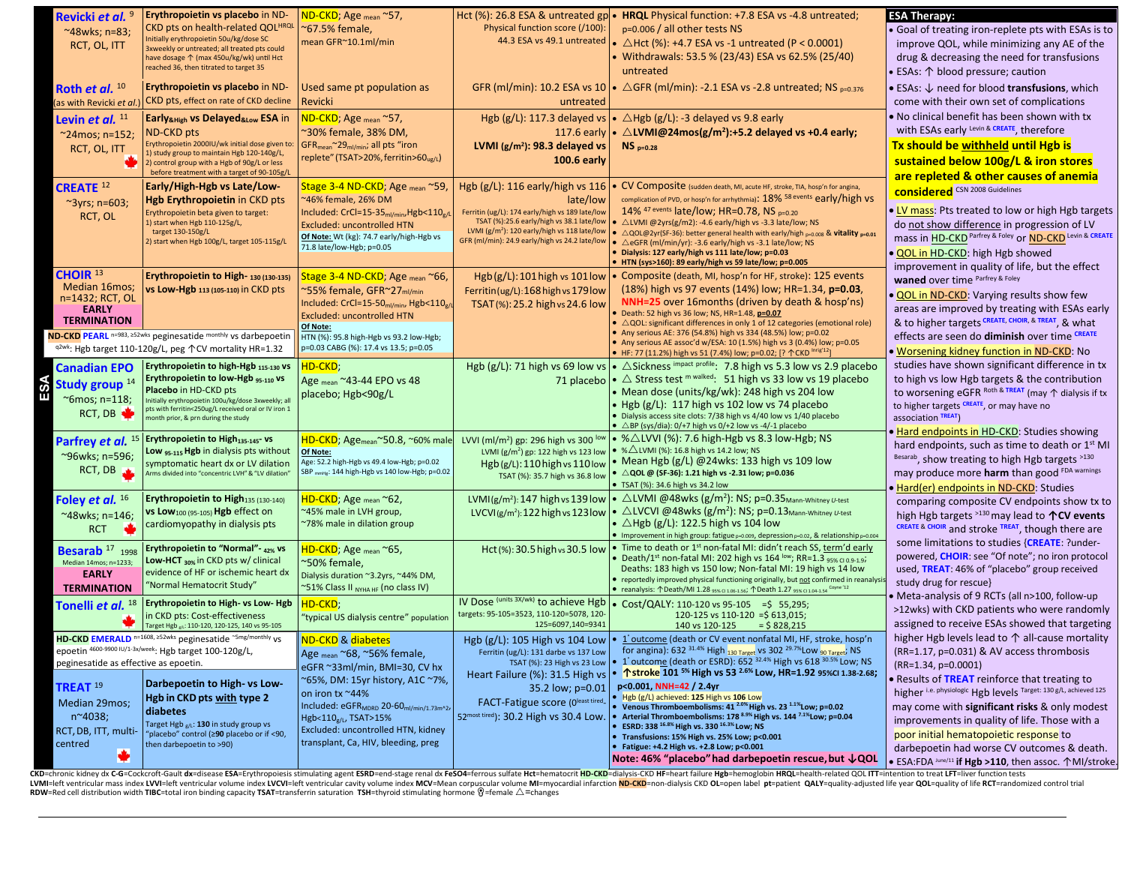| Revicki et al. <sup>9</sup><br>$~^{\sim}$ 48wks; n=83;<br>RCT, OL, ITT<br>Roth et al. $10$                                               | Erythropoietin vs placebo in ND-<br>CKD pts on health-related QOL <sup>HRQL</sup><br>Initially erythropoietin 50u/kg/dose SC<br>3xweekly or untreated; all treated pts could<br>have dosage 个 (max 450u/kg/wk) until Hct<br>reached 36, then titrated to target 35<br>Erythropoietin vs placebo in ND-                          | ND-CKD; Age <sub>mean</sub> ~57,<br>~67.5% female,<br>mean GFR~10.1ml/min<br>Used same pt population as                                                                                                                                                                                                                       | Hct $(\%)$ : 26.8 ESA & untreated gp $\bullet$<br>Physical function score (/100):                                                                                                                                                                             | HRQL Physical function: +7.8 ESA vs -4.8 untreated;<br>p=0.006 / all other tests NS<br>44.3 ESA vs 49.1 untreated $\bullet$ $\triangle$ Hct (%): +4.7 ESA vs -1 untreated (P < 0.0001)<br>Withdrawals: 53.5 % (23/43) ESA vs 62.5% (25/40)<br>untreated<br>GFR (ml/min): 10.2 ESA vs 10 $\bullet$ $\triangle$ GFR (ml/min): -2.1 ESA vs -2.8 untreated; NS $_{p=0.376}$                                                                                                                                                                                                                                                                                                                                                                                               | <b>ESA Therapy:</b><br>• Goal of treating iron-replete pts with ESAs is to<br>improve QOL, while minimizing any AE of the<br>drug & decreasing the need for transfusions<br>• ESAs: 个 blood pressure; caution<br>$\bullet$ ESAs: $\downarrow$ need for blood transfusions, which                                                                                                                                                                                                                       |
|------------------------------------------------------------------------------------------------------------------------------------------|---------------------------------------------------------------------------------------------------------------------------------------------------------------------------------------------------------------------------------------------------------------------------------------------------------------------------------|-------------------------------------------------------------------------------------------------------------------------------------------------------------------------------------------------------------------------------------------------------------------------------------------------------------------------------|---------------------------------------------------------------------------------------------------------------------------------------------------------------------------------------------------------------------------------------------------------------|-----------------------------------------------------------------------------------------------------------------------------------------------------------------------------------------------------------------------------------------------------------------------------------------------------------------------------------------------------------------------------------------------------------------------------------------------------------------------------------------------------------------------------------------------------------------------------------------------------------------------------------------------------------------------------------------------------------------------------------------------------------------------|--------------------------------------------------------------------------------------------------------------------------------------------------------------------------------------------------------------------------------------------------------------------------------------------------------------------------------------------------------------------------------------------------------------------------------------------------------------------------------------------------------|
| as with Revicki et al<br>Levin et al. 11<br>$^{\sim}$ 24mos; n=152;<br>RCT, OL, ITT                                                      | CKD pts, effect on rate of CKD decline<br>Early <sub>&amp;High</sub> vs Delayed <sub>&amp;Low</sub> ESA in<br><b>ND-CKD pts</b><br>Erythropoietin 2000IU/wk initial dose given to:<br>1) study group to maintain Hgb 120-140g/L,<br>2) control group with a Hgb of 90g/L or less<br>before treatment with a target of 90-105g/L | Revicki<br><mark>ND-CKD</mark> ; Age <sub>mean</sub> ~57,<br>~30% female, 38% DM,<br>GFR <sub>mean</sub> ~29 <sub>ml/min</sub> ; all pts "iron<br>replete" (TSAT>20%, ferritin>60 <sub>ug/l</sub> )                                                                                                                           | untreated<br>Hgb $(g/L)$ : 117.3 delayed vs<br>LVMI (g/m <sup>2</sup> ): 98.3 delayed vs<br><b>100.6 early</b>                                                                                                                                                | $ \bullet\angle$ Hgb (g/L): -3 delayed vs 9.8 early<br>117.6 early $\cdot \triangle$ LVMI@24mos(g/m <sup>2</sup> ):+5.2 delayed vs +0.4 early;<br>$NS_{p=0.28}$                                                                                                                                                                                                                                                                                                                                                                                                                                                                                                                                                                                                       | come with their own set of complications<br>. No clinical benefit has been shown with tx<br>with ESAs early Levin & CREATE, therefore<br>Tx should be withheld until Hgb is<br>sustained below 100g/L & iron stores<br>are repleted & other causes of anemia                                                                                                                                                                                                                                           |
| <b>CREATE</b> <sup>12</sup><br>$\sim$ 3yrs; n=603;<br>RCT, OL                                                                            | Early/High-Hgb vs Late/Low-<br><b>Hgb Erythropoietin in CKD pts</b><br>Erythropoietin beta given to target:<br>1) start when Hgb 110-125g/L,<br>target 130-150g/L<br>2) start when Hgb 100g/L, target 105-115g/L                                                                                                                | Stage 3-4 ND-CKD; Age <sub>mean</sub> ~59<br>46% female, 26% DM<br>Included: CrCl=15-35 <sub>ml/min</sub> ,Hgb<110 <sub>e/L</sub><br><b>Excluded: uncontrolled HTN</b><br>Of Note: Wt (kg): 74.7 early/high-Hgb vs<br>71.8 late/low-Hgb; p=0.05                                                                               | Hgb $(g/L)$ : 116 early/high vs 116<br>late/low<br>Ferritin (ug/L): 174 early/high vs 189 late/low<br>TSAT (%):25.6 early/high vs 38.1 late/low<br>LVMI (g/m <sup>2</sup> ): 120 early/high vs 118 late/low<br>GFR (ml/min): 24.9 early/high vs 24.2 late/low | CV Composite (sudden death, MI, acute HF, stroke, TIA, hosp'n for angina,<br>complication of PVD, or hosp'n for arrhythmia): 18% 58 events early/high vs<br>14% <sup>47 events</sup> late/low; HR=0.78, NS p=0.20<br>• $\triangle$ LVMI @2yrs(g/m2): -4.6 early/high vs -3.3 late/low; NS<br>△QOL@2yr(SF-36): better general health with early/high p=0.008 & vitality p=0.01<br>△eGFR (ml/min/yr): -3.6 early/high vs -3.1 late/low; NS<br>Dialysis: 127 early/high vs 111 late/low; p=0.03<br>HTN (sys>160): 89 early/high vs 59 late/low; p=0.005                                                                                                                                                                                                                  | considered CSN 2008 Guidelines<br>• LV mass: Pts treated to low or high Hgb targets<br>do not show difference in progression of LV<br>mass in HD-CKD Parfrey & Foley or ND-CKD Levin & CREATE<br>· QOL in HD-CKD: high Hgb showed<br>improvement in quality of life, but the effect                                                                                                                                                                                                                    |
| CHOIR <sup>13</sup><br>Median 16mos;<br>n=1432; RCT, OL<br><b>EARLY</b><br><b>TERMINATION</b>                                            | Erythropoietin to High- 130 (130-135)<br>vs Low-Hgb 113 (105-110) in CKD pts<br>ND-CKD PEARL n=983, ≥52wks peginesatide monthly vs darbepoetin<br>q2wk: Hgb target 110-120g/L, peg 个CV mortality HR=1.32                                                                                                                        | Stage 3-4 ND-CKD; Age mean ~66,<br>~55% female, GFR~27ml/min<br>Included: CrCl=15-50 <sub>ml/min</sub> , Hgb<110 <sub>g/L</sub><br><b>Excluded: uncontrolled HTN</b><br>Of Note:<br>HTN (%): 95.8 high-Hgb vs 93.2 low-Hgb;<br>p=0.03 CABG (%): 17.4 vs 13.5; p=0.05                                                          | Hgb $(g/L)$ : 101 high vs 101 low<br>Ferritin (ug/L): 168 high vs 179 low<br>TSAT(%): 25.2 high vs 24.6 low                                                                                                                                                   | • Composite (death, MI, hosp'n for HF, stroke): 125 events<br>(18%) high vs 97 events (14%) low; HR=1.34, p=0.03,<br>NNH=25 over 16 months (driven by death & hosp'ns)<br>Death: 52 high vs 36 low; NS, HR=1.48, p=0.07<br>$\triangle$ QOL: significant differences in only 1 of 12 categories (emotional role)<br>Any serious AE: 376 (54.8%) high vs 334 (48.5%) low; p=0.02<br>• Any serious AE assoc'd w/ESA: 10 (1.5%) high vs 3 (0.4%) low; p=0.05                                                                                                                                                                                                                                                                                                              | waned over time Parfrey & Foley<br>. QOL in ND-CKD: Varying results show few<br>areas are improved by treating with ESAs early<br>& to higher targets CREATE, CHOIR, & TREAT, & what<br>effects are seen do diminish over time CREATE                                                                                                                                                                                                                                                                  |
| <b>Canadian EPO</b><br>Study group <sup>14</sup><br>À<br>~6mos; n=118;<br>RCT, DB                                                        | Erythropoietin to high-Hgb 115-130 VS<br>Erythropoietin to low-Hgb 95-110 VS<br>Placebo in HD-CKD pts<br>Initially erythropoietin 100u/kg/dose 3xweekly; all<br>pts with ferritin<250ug/L received oral or IV iron 1<br>month prior, & prn during the study                                                                     | HD-CKD;<br>Age mean ~43-44 EPO vs 48<br>placebo; Hgb<90g/L                                                                                                                                                                                                                                                                    | Hgb (g/L): 71 high vs 69 low vs<br>71 placebo                                                                                                                                                                                                                 | ● HF: 77 (11.2%) high vs 51 (7.4%) low; p=0.02; [? 个CKD $\frac{\text{Inrig'12}}{2}$ ]<br>• $\triangle$ Sickness impact profile: 7.8 high vs 5.3 low vs 2.9 placebo<br>• $\triangle$ Stress test m walked: 51 high vs 33 low vs 19 placebo<br>Mean dose (units/kg/wk): 248 high vs 204 low (<br>Hgb (g/L): 117 high vs 102 low vs 74 placebo<br>Dialysis access site clots: 7/38 high vs 4/40 low vs 1/40 placebo<br>$\triangle$ BP (sys/dia): 0/+7 high vs 0/+2 low vs -4/-1 placebo                                                                                                                                                                                                                                                                                  | . Worsening kidney function in ND-CKD: No<br>studies have shown significant difference in tx<br>to high vs low Hgb targets & the contribution<br>to worsening eGFR Roth & TREAT (may $\uparrow$ dialysis if tx<br>to higher targets CREATE, or may have no<br>association TREAT)                                                                                                                                                                                                                       |
| Parfrey et al. 15<br>~96wks; n=596;<br>RCT, DB                                                                                           | Erythropoietin to High <sub>135-145</sub> - vs<br>Low <sub>95-115</sub> Hgb in dialysis pts without<br>symptomatic heart dx or LV dilation<br>Arms divided into "concentric LVH" & "LV dilation"                                                                                                                                | 1D-CKD; Age <sub>mean</sub> ~50.8, ~60% male<br>Of Note:<br>Age: 52.2 high-Hgb vs 49.4 low-Hgb; p=0.02<br>SBP mmHg: 144 high-Hgb vs 140 low-Hgb; p=0.02                                                                                                                                                                       | LVVI (ml/m <sup>2</sup> ) gp: 296 high vs 300 lov<br>LVMI ( $g/m2$ ) gp: 122 high vs 123 low<br>Hgb(g/L): 110 high vs 110 low<br>TSAT (%): 35.7 high vs 36.8 low                                                                                              | • % $\triangle$ LVVI (%): 7.6 high-Hgb vs 8.3 low-Hgb; NS<br>% $\triangle$ LVMI (%): 16.8 high vs 14.2 low; NS<br>Mean Hgb $(g/L)$ @24wks: 133 high vs 109 low<br>△ QOL @ (SF-36): 1.21 high vs -2.31 low; p=0.036<br>TSAT (%): 34.6 high vs 34.2 low                                                                                                                                                                                                                                                                                                                                                                                                                                                                                                                 | • Hard endpoints in HD-CKD: Studies showing<br>hard endpoints, such as time to death or 1st MI<br>Besarab, show treating to high Hgb targets >130<br>may produce more harm than good FDA warnings<br>• Hard(er) endpoints in ND-CKD: Studies                                                                                                                                                                                                                                                           |
| Foley et al. 16<br>~48wks; n=146;<br><b>RCT</b>                                                                                          | Erythropoietin to High135 (130-140)<br>vs Low <sub>100 (95-105)</sub> Hgb effect on<br>cardiomyopathy in dialysis pts                                                                                                                                                                                                           | HD-CKD; Age <sub>mean</sub> ~62,<br>~45% male in LVH group,<br>78% male in dilation group                                                                                                                                                                                                                                     | LVMI( $g/m^2$ ): 147 high vs 139 low<br>LVCVI( $g/m^2$ ): 122 high vs 123 low                                                                                                                                                                                 | • $\triangle$ LVMI @48wks (g/m <sup>2</sup> ): NS; p=0.35 <sub>Mann-Whitney U-test</sub><br>• $\triangle$ LVCVI @48wks (g/m <sup>2</sup> ): NS; p=0.13 <sub>Mann-Whitney</sub> U-test<br>$\blacktriangleright$ $\triangle$ Hgb (g/L): 122.5 high vs 104 low<br>Improvement in high group: fatigue <sub>p=0.009</sub> , depression <sub>p=0.02</sub> , & relationship <sub>p=0.004</sub>                                                                                                                                                                                                                                                                                                                                                                               | comparing composite CV endpoints show tx to<br>high Hgb targets >130 may lead to <b>个CV events</b><br>CREATE & CHOIR and stroke TREAT, though there are<br>some limitations to studies {CREATE: ?under-                                                                                                                                                                                                                                                                                                |
| Besarab <sup>17</sup> 1998<br>Median 14mos; n=1233;<br><b>EARLY</b><br><b>TERMINATION</b>                                                | Erythropoietin to "Normal"- 42% vs<br>Low-HCT 30% in CKD pts w/ clinical<br>evidence of HF or ischemic heart dx<br>"Normal Hematocrit Study"                                                                                                                                                                                    | <mark>HD-CKD</mark> ; Age <sub>mean</sub> ~65,<br>~50% female.<br>Dialysis duration ~3.2yrs, ~44% DM,<br>~51% Class II NYHAHF (no class IV)                                                                                                                                                                                   | Hct(%): 30.5 high vs 30.5 low                                                                                                                                                                                                                                 | Time to death or 1 <sup>st</sup> non-fatal MI: didn't reach SS, term'd early<br>Death/1 <sup>st</sup> non-fatal MI: 202 high vs 164 low; RR=1.3 95% cl 0.9-1.9;<br>Deaths: 183 high vs 150 low; Non-fatal MI: 19 high vs 14 low<br>reportedly improved physical functioning originally, but not confirmed in reanalysis<br>• reanalysis: ↑Death/MI 1.28 95% CI 1.06-1.56; ↑Death 1.27 95% CI 1.04-1.54 Coyne'12                                                                                                                                                                                                                                                                                                                                                       | powered, CHOIR: see "Of note"; no iron protocol<br>used, TREAT: 46% of "placebo" group received<br>study drug for rescue}<br>• Meta-analysis of 9 RCTs (all n>100, follow-up                                                                                                                                                                                                                                                                                                                           |
| Tonelli et al. 18                                                                                                                        | Erythropoietin to High- vs Low- Hgb<br>in CKD pts: Cost-effectiveness<br>Target Hgb 8/1: 110-120, 120-125, 140 vs 95-105                                                                                                                                                                                                        | HD-CKD;<br>"typical US dialysis centre" population                                                                                                                                                                                                                                                                            | IV Dose (units 3X/wk) to achieve Hgb<br>targets: 95-105=3523, 110-120=5078, 120-<br>125=6097,140=9341                                                                                                                                                         | • Cost/QALY: 110-120 vs 95-105 = \$ 55,295;<br>120-125 vs 110-120 = \$613,015;<br>140 vs 120-125 = $$828,215$                                                                                                                                                                                                                                                                                                                                                                                                                                                                                                                                                                                                                                                         | >12wks) with CKD patients who were randomly<br>assigned to receive ESAs showed that targeting                                                                                                                                                                                                                                                                                                                                                                                                          |
| peginesatide as effective as epoetin.<br>TREAT <sup>19</sup><br>Median 29mos;<br>$n^{\sim}4038;$<br>RCT, DB, ITT, multi-<br>centred<br>♣ | HD-CKD EMERALD n=1608, 252wks peginesatide ~5mg/monthly vs<br>epoetin 4600-9900 IU/1-3x/week: Hgb target 100-120g/L,<br>Darbepoetin to High-vs Low-<br>Hgb in CKD pts with type 2<br>diabetes<br>Target Hgb $_{\varepsilon/L}$ : 130 in study group vs<br>"placebo" control (≥90 placebo or if <90,<br>then darbepoetin to >90) | ND-CKD & diabetes<br>Age mean ~68, ~56% female,<br>eGFR ~33ml/min, BMI=30, CV hx<br>~65%, DM: 15yr history, A1C ~7%,<br>on iron tx ~44%<br>Included: eGFR <sub>MDRD</sub> 20-60 <sub>ml/min/1.73m^2</sub> ,<br>Hgb<110 <sub>g/L</sub> , TSAT>15%<br>Excluded: uncontrolled HTN, kidney<br>transplant, Ca, HIV, bleeding, preg | Ferritin (ug/L): 131 darbe vs 137 Low<br>TSAT (%): 23 High vs 23 Low<br>Heart Failure (%): 31.5 High vs<br>35.2 low; p=0.01<br>FACT-Fatigue score (Oleast tired.<br>52most tired): 30.2 High vs 30.4 Low.                                                     | Hgb (g/L): 105 High vs 104 Low   • 1 outcome (death or CV event nonfatal MI, HF, stroke, hosp'n<br>for angina): 632 31.4% High 130 Target VS 302 29.7% LOW 90 Target; NS<br>1° outcome (death or ESRD): 652 32.4% High vs 618 30.5% Low; NS<br><b>1.58-2.68;</b> 101 5% High vs 53 <sup>2.6%</sup> Low, HR=1.92 95%CI 1.38-2.68;<br>p<0.001, NNH=42 / 2.4yr<br>Hgb (g/L) achieved: 125 High vs 106 Low<br>• Venous Thromboembolisms: 41 <sup>2.0%</sup> High vs. 23 <sup>1.1%</sup> Low; p=0.02<br>Arterial Thromboembolisms: 178 8.9% High vs. 144 7.1% Low; p=0.04<br>ESRD: 338 16.8% High vs. 330 16.3% Low; NS<br>Transfusions: 15% High vs. 25% Low; p<0.001<br>Fatigue: +4.2 High vs. +2.8 Low; p<0.001<br>Note: 46% "placebo" had darbepoetin rescue, but ↓QOL | higher Hgb levels lead to $\uparrow$ all-cause mortality<br>(RR=1.17, p=0.031) & AV access thrombosis<br>$(RR=1.34, p=0.0001)$<br>. Results of TREAT reinforce that treating to<br>higher i.e. physiologic Hgb levels Target: 130 g/L, achieved 125<br>may come with significant risks & only modest<br>improvements in quality of life. Those with a<br>poor initial hematopoietic response to<br>darbepoetin had worse CV outcomes & death.<br>• ESA:FDA June/11 if Hgb >110, then assoc. 个MI/stroke |

CKD=chronic kidney dx C-G=Cockcroft-Gault dx=disease ESA=Erythropoiesis stimulating agent ESRD=end-stage renal dx FeSO4=ferrous sulfate Hct=hematocrit HD-CKD=dialysis-CKD HF=heart failure Hgb=hemoglobin HRQL=health-related